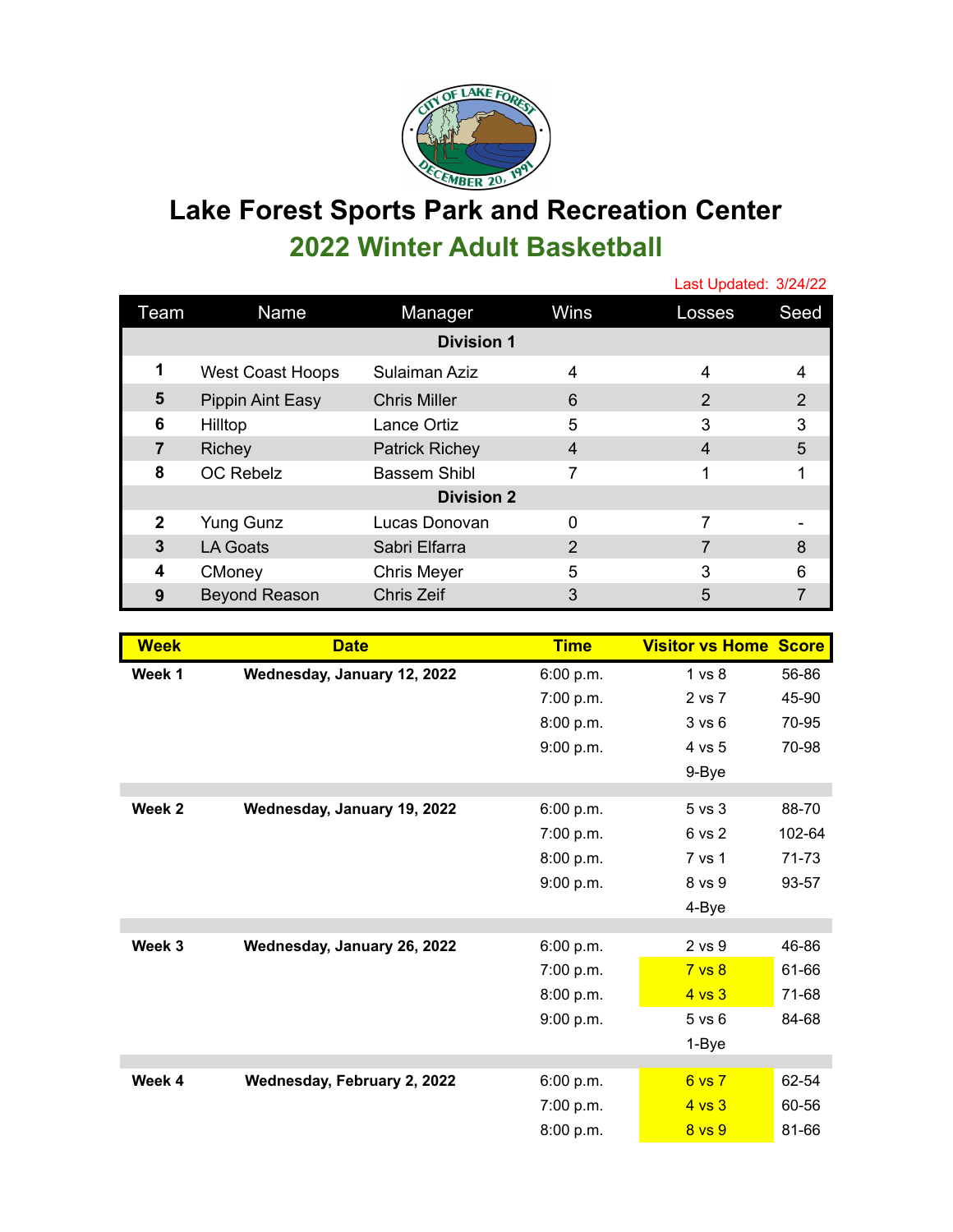

## **Lake Forest Sports Park and Recreation Center 2022 Winter Adult Basketball**

|                   |                         |                       |                | Last Updated: 3/24/22 |      |  |  |  |
|-------------------|-------------------------|-----------------------|----------------|-----------------------|------|--|--|--|
| Team              | Name                    | Manager               | Wins           | Losses                | Seed |  |  |  |
| <b>Division 1</b> |                         |                       |                |                       |      |  |  |  |
| 1                 | <b>West Coast Hoops</b> | Sulaiman Aziz         | $\overline{4}$ | 4                     | 4    |  |  |  |
| 5                 | Pippin Aint Easy        | <b>Chris Miller</b>   | 6              | 2                     | 2    |  |  |  |
| 6                 | Hilltop                 | Lance Ortiz           | 5              | 3                     | 3    |  |  |  |
| 7                 | Richey                  | <b>Patrick Richey</b> | 4              | $\overline{4}$        | 5    |  |  |  |
| 8                 | <b>OC Rebelz</b>        | Bassem Shibl          | 7              | 1                     |      |  |  |  |
| <b>Division 2</b> |                         |                       |                |                       |      |  |  |  |
| $\mathbf{2}$      | <b>Yung Gunz</b>        | Lucas Donovan         | 0              | 7                     |      |  |  |  |
| 3                 | <b>LA Goats</b>         | Sabri Elfarra         | 2              | 7                     | 8    |  |  |  |
| 4                 | CMoney                  | <b>Chris Meyer</b>    | 5              | 3                     | հ    |  |  |  |
| 9                 | <b>Beyond Reason</b>    | <b>Chris Zeif</b>     | 3              | 5                     |      |  |  |  |

| <b>Week</b>       | <b>Date</b>                 | <b>Time</b> | <b>Visitor vs Home Score</b> |        |
|-------------------|-----------------------------|-------------|------------------------------|--------|
| Week 1            | Wednesday, January 12, 2022 | 6:00 p.m.   | 1 <sub>vs</sub> 8            | 56-86  |
|                   |                             | 7:00 p.m.   | 2 vs 7                       | 45-90  |
|                   |                             | 8:00 p.m.   | 3 v s 6                      | 70-95  |
|                   |                             | 9:00 p.m.   | 4 vs 5                       | 70-98  |
|                   |                             |             | 9-Bye                        |        |
| Week 2            | Wednesday, January 19, 2022 | 6:00 p.m.   | 5 <sub>vs</sub> 3            | 88-70  |
|                   |                             | 7:00 p.m.   | 6 vs 2                       | 102-64 |
|                   |                             | 8:00 p.m.   | 7 vs 1                       | 71-73  |
|                   |                             | 9:00 p.m.   | 8 vs 9                       | 93-57  |
|                   |                             |             | 4-Bye                        |        |
|                   |                             |             |                              |        |
| Week <sub>3</sub> | Wednesday, January 26, 2022 | 6:00 p.m.   | 2 vs 9                       | 46-86  |
|                   |                             | 7:00 p.m.   | 7 <sub>vs</sub> 8            | 61-66  |
|                   |                             | 8:00 p.m.   | 4 <sub>vs</sub> 3            | 71-68  |
|                   |                             | 9:00 p.m.   | $5$ vs $6$                   | 84-68  |
|                   |                             |             | 1-Bye                        |        |
| Week 4            | Wednesday, February 2, 2022 | 6:00 p.m.   | 6 vs 7                       | 62-54  |
|                   |                             | 7:00 p.m.   | $4$ vs $3$                   | 60-56  |
|                   |                             | 8:00 p.m.   | 8 vs 9                       | 81-66  |
|                   |                             |             |                              |        |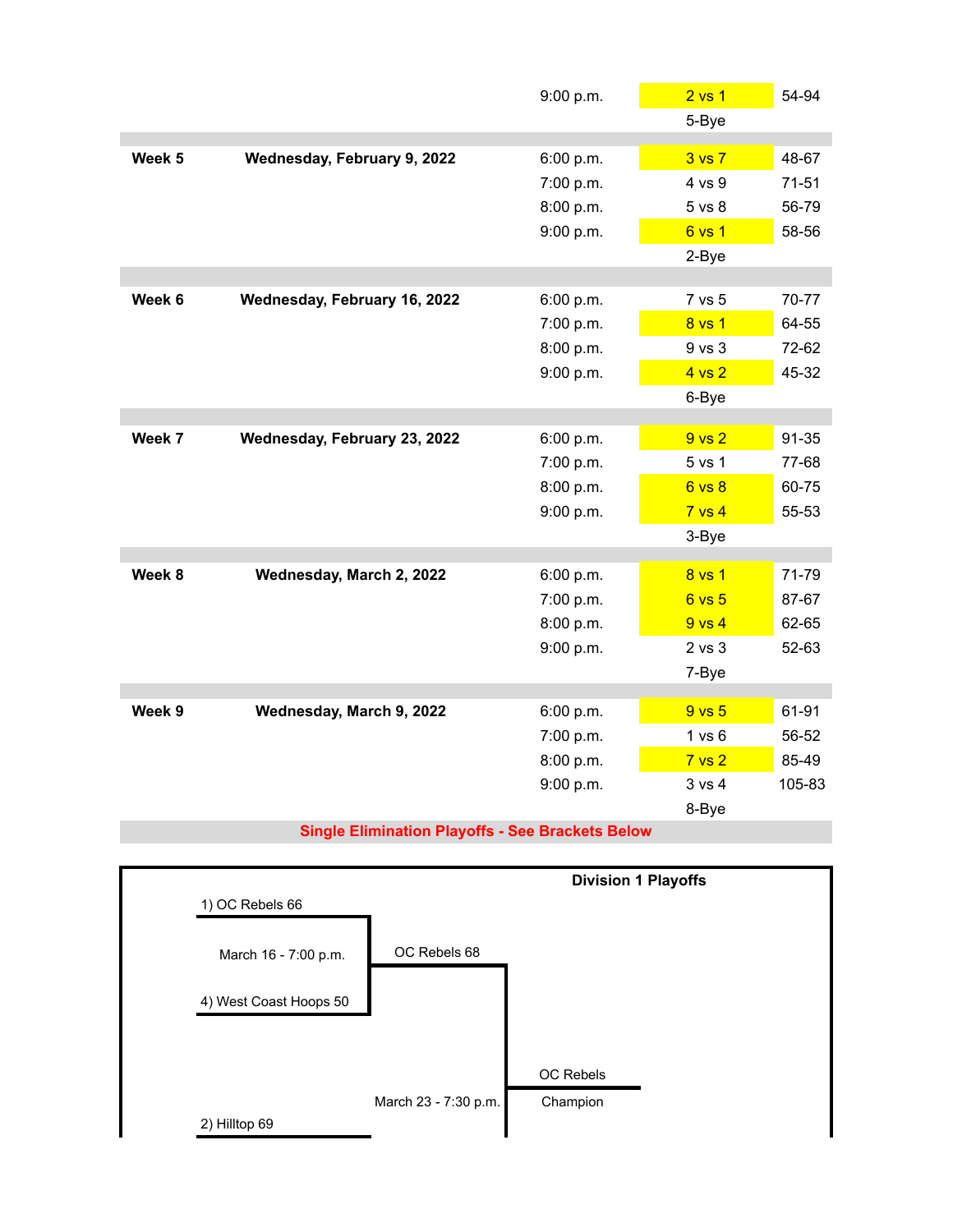| 5-Bye<br>3 <sub>vs</sub> 7<br>48-67<br>Week 5<br>Wednesday, February 9, 2022<br>6:00 p.m.<br>7:00 p.m.<br>4 vs 9<br>$71 - 51$<br>8:00 p.m.<br>56-79<br>5 vs 8<br>9:00 p.m.<br>6 vs 1<br>58-56<br>2-Bye<br>Week 6<br>Wednesday, February 16, 2022<br>7 vs 5<br>70-77<br>6:00 p.m.<br>7:00 p.m.<br>8 vs 1<br>64-55<br>9 vs 3<br>72-62<br>8:00 p.m.<br>9:00 p.m.<br>4 vs 2<br>45-32<br>6-Bye<br>Week 7<br>9 <sub>vs</sub> 2<br>91-35<br>Wednesday, February 23, 2022<br>6:00 p.m.<br>7:00 p.m.<br>5 vs 1<br>77-68<br>60-75<br>8:00 p.m.<br>6 vs 8<br>9:00 p.m.<br>$7$ vs $4$<br>55-53<br>3-Bye<br>71-79<br>Week 8<br>Wednesday, March 2, 2022<br>8 vs 1<br>6:00 p.m.<br>7:00 p.m.<br>6 vs 5<br>87-67<br>8:00 p.m.<br>62-65<br>$9$ vs $4$<br>$2$ vs $3$<br>52-63<br>9:00 p.m.<br>7-Bye<br>61-91<br>Week 9<br>Wednesday, March 9, 2022<br>9 <sub>vs</sub> 5<br>6:00 p.m.<br>7:00 p.m.<br>1 vs 6<br>56-52<br>8:00 p.m.<br>7 <sub>vs</sub> 2<br>85-49<br>9:00 p.m.<br>3 vs 4<br>105-83<br>8-Bye |  | 9:00 p.m. | 2 <sub>vs</sub> 1 | 54-94 |
|------------------------------------------------------------------------------------------------------------------------------------------------------------------------------------------------------------------------------------------------------------------------------------------------------------------------------------------------------------------------------------------------------------------------------------------------------------------------------------------------------------------------------------------------------------------------------------------------------------------------------------------------------------------------------------------------------------------------------------------------------------------------------------------------------------------------------------------------------------------------------------------------------------------------------------------------------------------------------------------|--|-----------|-------------------|-------|
|                                                                                                                                                                                                                                                                                                                                                                                                                                                                                                                                                                                                                                                                                                                                                                                                                                                                                                                                                                                          |  |           |                   |       |
|                                                                                                                                                                                                                                                                                                                                                                                                                                                                                                                                                                                                                                                                                                                                                                                                                                                                                                                                                                                          |  |           |                   |       |
|                                                                                                                                                                                                                                                                                                                                                                                                                                                                                                                                                                                                                                                                                                                                                                                                                                                                                                                                                                                          |  |           |                   |       |
|                                                                                                                                                                                                                                                                                                                                                                                                                                                                                                                                                                                                                                                                                                                                                                                                                                                                                                                                                                                          |  |           |                   |       |
|                                                                                                                                                                                                                                                                                                                                                                                                                                                                                                                                                                                                                                                                                                                                                                                                                                                                                                                                                                                          |  |           |                   |       |
|                                                                                                                                                                                                                                                                                                                                                                                                                                                                                                                                                                                                                                                                                                                                                                                                                                                                                                                                                                                          |  |           |                   |       |
|                                                                                                                                                                                                                                                                                                                                                                                                                                                                                                                                                                                                                                                                                                                                                                                                                                                                                                                                                                                          |  |           |                   |       |
|                                                                                                                                                                                                                                                                                                                                                                                                                                                                                                                                                                                                                                                                                                                                                                                                                                                                                                                                                                                          |  |           |                   |       |
|                                                                                                                                                                                                                                                                                                                                                                                                                                                                                                                                                                                                                                                                                                                                                                                                                                                                                                                                                                                          |  |           |                   |       |
|                                                                                                                                                                                                                                                                                                                                                                                                                                                                                                                                                                                                                                                                                                                                                                                                                                                                                                                                                                                          |  |           |                   |       |
|                                                                                                                                                                                                                                                                                                                                                                                                                                                                                                                                                                                                                                                                                                                                                                                                                                                                                                                                                                                          |  |           |                   |       |
|                                                                                                                                                                                                                                                                                                                                                                                                                                                                                                                                                                                                                                                                                                                                                                                                                                                                                                                                                                                          |  |           |                   |       |
|                                                                                                                                                                                                                                                                                                                                                                                                                                                                                                                                                                                                                                                                                                                                                                                                                                                                                                                                                                                          |  |           |                   |       |
|                                                                                                                                                                                                                                                                                                                                                                                                                                                                                                                                                                                                                                                                                                                                                                                                                                                                                                                                                                                          |  |           |                   |       |
|                                                                                                                                                                                                                                                                                                                                                                                                                                                                                                                                                                                                                                                                                                                                                                                                                                                                                                                                                                                          |  |           |                   |       |
|                                                                                                                                                                                                                                                                                                                                                                                                                                                                                                                                                                                                                                                                                                                                                                                                                                                                                                                                                                                          |  |           |                   |       |
|                                                                                                                                                                                                                                                                                                                                                                                                                                                                                                                                                                                                                                                                                                                                                                                                                                                                                                                                                                                          |  |           |                   |       |
|                                                                                                                                                                                                                                                                                                                                                                                                                                                                                                                                                                                                                                                                                                                                                                                                                                                                                                                                                                                          |  |           |                   |       |
|                                                                                                                                                                                                                                                                                                                                                                                                                                                                                                                                                                                                                                                                                                                                                                                                                                                                                                                                                                                          |  |           |                   |       |
|                                                                                                                                                                                                                                                                                                                                                                                                                                                                                                                                                                                                                                                                                                                                                                                                                                                                                                                                                                                          |  |           |                   |       |
|                                                                                                                                                                                                                                                                                                                                                                                                                                                                                                                                                                                                                                                                                                                                                                                                                                                                                                                                                                                          |  |           |                   |       |
|                                                                                                                                                                                                                                                                                                                                                                                                                                                                                                                                                                                                                                                                                                                                                                                                                                                                                                                                                                                          |  |           |                   |       |
|                                                                                                                                                                                                                                                                                                                                                                                                                                                                                                                                                                                                                                                                                                                                                                                                                                                                                                                                                                                          |  |           |                   |       |
|                                                                                                                                                                                                                                                                                                                                                                                                                                                                                                                                                                                                                                                                                                                                                                                                                                                                                                                                                                                          |  |           |                   |       |
|                                                                                                                                                                                                                                                                                                                                                                                                                                                                                                                                                                                                                                                                                                                                                                                                                                                                                                                                                                                          |  |           |                   |       |
|                                                                                                                                                                                                                                                                                                                                                                                                                                                                                                                                                                                                                                                                                                                                                                                                                                                                                                                                                                                          |  |           |                   |       |
|                                                                                                                                                                                                                                                                                                                                                                                                                                                                                                                                                                                                                                                                                                                                                                                                                                                                                                                                                                                          |  |           |                   |       |
|                                                                                                                                                                                                                                                                                                                                                                                                                                                                                                                                                                                                                                                                                                                                                                                                                                                                                                                                                                                          |  |           |                   |       |
|                                                                                                                                                                                                                                                                                                                                                                                                                                                                                                                                                                                                                                                                                                                                                                                                                                                                                                                                                                                          |  |           |                   |       |
|                                                                                                                                                                                                                                                                                                                                                                                                                                                                                                                                                                                                                                                                                                                                                                                                                                                                                                                                                                                          |  |           |                   |       |

## **Single Elimination Playoffs - See Brackets Below**